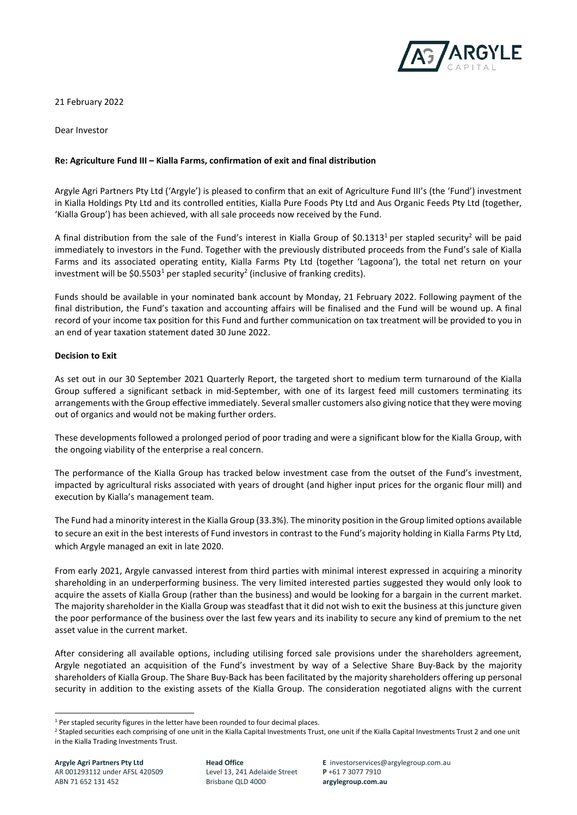

21 February 2022

Dear Investor

## **Re: Agriculture Fund III – Kialla Farms, confirmation of exit and final distribution**

Argyle Agri Partners Pty Ltd ('Argyle') is pleased to confirm that an exit of Agriculture Fund III's (the 'Fund') investment in Kialla Holdings Pty Ltd and its controlled entities, Kialla Pure Foods Pty Ltd and Aus Organic Feeds Pty Ltd (together, 'Kialla Group') has been achieved, with all sale proceeds now received by the Fund.

A final distribution from the sale of the Fund's interest in Kialla Group of \$0.1313<sup>1</sup> per stapled security<sup>2</sup> will be paid immediately to investors in the Fund. Together with the previously distributed proceeds from the Fund's sale of Kialla Farms and its associated operating entity, Kialla Farms Pty Ltd (together 'Lagoona'), the total net return on your investment will be \$0.5503<sup>1</sup> per stapled security<sup>2</sup> (inclusive of franking credits).

Funds should be available in your nominated bank account by Monday, 21 February 2022. Following payment of the final distribution, the Fund's taxation and accounting affairs will be finalised and the Fund will be wound up. A final record of your income tax position for this Fund and further communication on tax treatment will be provided to you in an end of year taxation statement dated 30 June 2022.

## **Decision to Exit**

As set out in our 30 September 2021 Quarterly Report, the targeted short to medium term turnaround of the Kialla Group suffered a significant setback in mid-September, with one of its largest feed mill customers terminating its arrangements with the Group effective immediately. Several smaller customers also giving notice that they were moving out of organics and would not be making further orders.

These developments followed a prolonged period of poor trading and were a significant blow for the Kialla Group, with the ongoing viability of the enterprise a real concern.

The performance of the Kialla Group has tracked below investment case from the outset of the Fund's investment, impacted by agricultural risks associated with years of drought (and higher input prices for the organic flour mill) and execution by Kialla's management team.

The Fund had a minority interest in the Kialla Group (33.3%). The minority position in the Group limited options available to secure an exit in the best interests of Fund investors in contrast to the Fund's majority holding in Kialla Farms Pty Ltd, which Argyle managed an exit in late 2020.

From early 2021, Argyle canvassed interest from third parties with minimal interest expressed in acquiring a minority shareholding in an underperforming business. The very limited interested parties suggested they would only look to acquire the assets of Kialla Group (rather than the business) and would be looking for a bargain in the current market. The majority shareholder in the Kialla Group was steadfast that it did not wish to exit the business at this juncture given the poor performance of the business over the last few years and its inability to secure any kind of premium to the net asset value in the current market.

After considering all available options, including utilising forced sale provisions under the shareholders agreement, Argyle negotiated an acquisition of the Fund's investment by way of a Selective Share Buy-Back by the majority shareholders of Kialla Group. The Share Buy-Back has been facilitated by the majority shareholders offering up personal security in addition to the existing assets of the Kialla Group. The consideration negotiated aligns with the current

<sup>&</sup>lt;sup>1</sup> Per stapled security figures in the letter have been rounded to four decimal places.

<sup>&</sup>lt;sup>2</sup> Stapled securities each comprising of one unit in the Kialla Capital Investments Trust, one unit if the Kialla Capital Investments Trust 2 and one unit in the Kialla Trading Investments Trust.